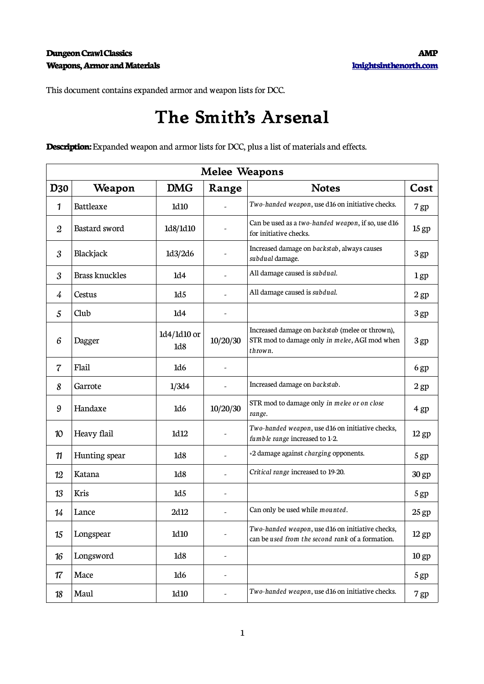This document contains expanded armor and weapon lists for DCC.

## **The Smith's Arsenal**

**Description:** Expanded weapon and armor lists for DCC, plus a list of materials and effects.

| <b>Melee Weapons</b> |                       |                    |                                                                |                                                                                                             |                  |  |
|----------------------|-----------------------|--------------------|----------------------------------------------------------------|-------------------------------------------------------------------------------------------------------------|------------------|--|
| <b>D30</b>           | Weapon                | <b>DMG</b>         | Range                                                          | <b>Notes</b>                                                                                                | Cost             |  |
| 1                    | Battleaxe             | 1d10               |                                                                | Two-handed weapon, use d16 on initiative checks.                                                            | 7 gp             |  |
| $\boldsymbol{2}$     | Bastard sword         | 1d8/1d10           |                                                                | Can be used as a two-handed weapon, if so, use d16<br>for initiative checks.                                | 15 <sub>gp</sub> |  |
| 3                    | Blackjack             | 1d3/2d6            | Increased damage on backstab, always causes<br>subdual damage. |                                                                                                             | 3gp              |  |
| 3                    | <b>Brass knuckles</b> | 1d4                |                                                                | All damage caused is subdual.                                                                               | 1 <sub>gp</sub>  |  |
| $\frac{1}{4}$        | Cestus                | 1d5                |                                                                | All damage caused is subdual.                                                                               | 2 <sub>gp</sub>  |  |
| 5                    | Club                  | 1d4                |                                                                |                                                                                                             | 3gp              |  |
| 6                    | Dagger                | 1d4/1d10 or<br>1d8 | 10/20/30                                                       | Increased damage on backstab (melee or thrown),<br>STR mod to damage only in melee, AGI mod when<br>thrown. | 3gp              |  |
| 7                    | Flail                 | 1d6                |                                                                |                                                                                                             | 6gp              |  |
| 8                    | Garrote               | 1/3d4              |                                                                | Increased damage on backstab.                                                                               | 2 <sub>gp</sub>  |  |
| 9                    | Handaxe               | 1d6                | 10/20/30                                                       | STR mod to damage only in melee or on close<br>range.                                                       | 4 gp             |  |
| 10                   | Heavy flail           | 1d12               |                                                                | Two-handed weapon, use d16 on initiative checks,<br>fumble range increased to 1-2.                          | $12$ gp          |  |
| 11                   | Hunting spear         | 1 <sub>d8</sub>    |                                                                | +2 damage against charging opponents.                                                                       | 5 gp             |  |
| 12                   | Katana                | 1d8                |                                                                | Critical range increased to 19-20.                                                                          | 30 gp            |  |
| 13                   | Kris                  | 1d5                |                                                                |                                                                                                             | 5 gp             |  |
| 14                   | Lance                 | 2d12               |                                                                | Can only be used while mounted.                                                                             | $25$ gp          |  |
| 15                   | Longspear             | 1d10               | $\overline{\phantom{a}}$                                       | Two-handed weapon, use d16 on initiative checks,<br>can be used from the second rank of a formation.        | $12$ gp          |  |
| 16                   | Longsword             | 1d8                | $\overline{\phantom{a}}$                                       |                                                                                                             | 10 <sub>gp</sub> |  |
| 17                   | Mace                  | 1d6                | $\overline{\phantom{a}}$                                       |                                                                                                             | 5 gp             |  |
| 18                   | Maul                  | 1d10               | $\overline{\phantom{a}}$                                       | Two-handed weapon, use d16 on initiative checks.                                                            | 7 gp             |  |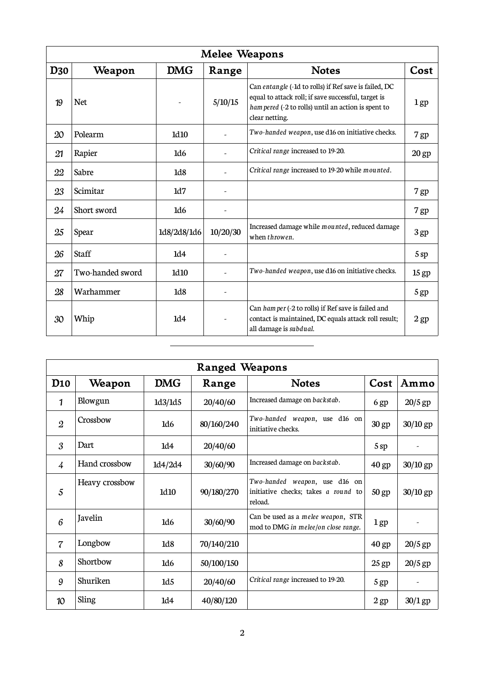| <b>Melee Weapons</b>                             |                  |                  |                          |                                                                                                                                                                                       |                  |
|--------------------------------------------------|------------------|------------------|--------------------------|---------------------------------------------------------------------------------------------------------------------------------------------------------------------------------------|------------------|
| D <sub>30</sub><br><b>DMG</b><br>Weapon<br>Range |                  | <b>Notes</b>     | Cost                     |                                                                                                                                                                                       |                  |
| 19                                               | <b>Net</b>       |                  | 5/10/15                  | Can entangle (-1d to rolls) if Ref save is failed, DC<br>equal to attack roll; if save successful, target is<br>ham pered (-2 to rolls) until an action is spent to<br>clear netting. | $1$ gp           |
| 20                                               | Polearm          | 1d <sub>10</sub> |                          | Two-handed weapon, use d16 on initiative checks.                                                                                                                                      |                  |
| 21                                               | Rapier           | 1d6              |                          | Critical range increased to 19-20.                                                                                                                                                    | $20$ gp          |
| 22                                               | Sabre            | 1 <sub>d8</sub>  |                          | Critical range increased to 19-20 while mounted.                                                                                                                                      |                  |
| 23                                               | Scimitar         | 1d7              | $\overline{\phantom{a}}$ |                                                                                                                                                                                       | 7 gp             |
| 24                                               | Short sword      | 1d <sub>6</sub>  |                          |                                                                                                                                                                                       | 7 gp             |
| 25                                               | Spear            | 1d8/2d8/1d6      | 10/20/30                 | Increased damage while mounted, reduced damage<br>when throwen.                                                                                                                       | 3 gp             |
| 26                                               | <b>Staff</b>     | 1d4              |                          |                                                                                                                                                                                       | 5sp              |
| 27                                               | Two-handed sword | 1d <sub>10</sub> |                          | Two-handed weapon, use d16 on initiative checks.                                                                                                                                      | 15 <sub>gp</sub> |
| 28                                               | Warhammer        | 1 <sub>d8</sub>  |                          |                                                                                                                                                                                       | 5 gp             |
| 30                                               | Whip             | 1d4              |                          | Can ham per (-2 to rolls) if Ref save is failed and<br>contact is maintained, DC equals attack roll result;<br>all damage is subdual.                                                 | $2$ gp           |

| <b>Ranged Weapons</b> |                                               |         |            |                                                                                 |         |            |  |
|-----------------------|-----------------------------------------------|---------|------------|---------------------------------------------------------------------------------|---------|------------|--|
| D <sub>10</sub>       | <b>DMG</b><br>Weapon<br><b>Notes</b><br>Range |         | Cost       | Ammo                                                                            |         |            |  |
| 1                     | Blowgun                                       | 1d3/1d5 | 20/40/60   | Increased damage on backstab.                                                   | 6 gp    | $20/5$ gp  |  |
| $\mathfrak{2}$        | Crossbow                                      | 1d6     | 80/160/240 | Two-handed weapon, use d16 on<br>initiative checks.                             | 30 gp   | 30/10 gp   |  |
| 3                     | Dart                                          | 1d4     | 20/40/60   |                                                                                 | 5sp     |            |  |
| $\frac{1}{4}$         | Hand crossbow                                 | 1d4/2d4 | 30/60/90   | Increased damage on backstab.                                                   | 40 gp   | 30/10 gp   |  |
| 5                     | Heavy crossbow                                | 1d10    | 90/180/270 | Two-handed weapon, use d16 on<br>initiative checks; takes a round to<br>reload. | 50 gp   | $30/10$ gp |  |
| 6                     | Javelin                                       | 1d6     | 30/60/90   | Can be used as a melee weapon, STR<br>mod to DMG in melee/on close range.       | 1 gp    |            |  |
| $\overline{7}$        | Longbow                                       | 1d8     | 70/140/210 |                                                                                 | 40 gp   | $20/5$ gp  |  |
| 8                     | Shortbow                                      | 1d6     | 50/100/150 |                                                                                 | $25$ gp | $20/5$ gp  |  |
| 9                     | Shuriken                                      | 1d5     | 20/40/60   | Critical range increased to 19-20.                                              | 5 gp    |            |  |
| 10                    | Sling                                         | 1d4     | 40/80/120  |                                                                                 | $2$ gp  | $30/1$ gp  |  |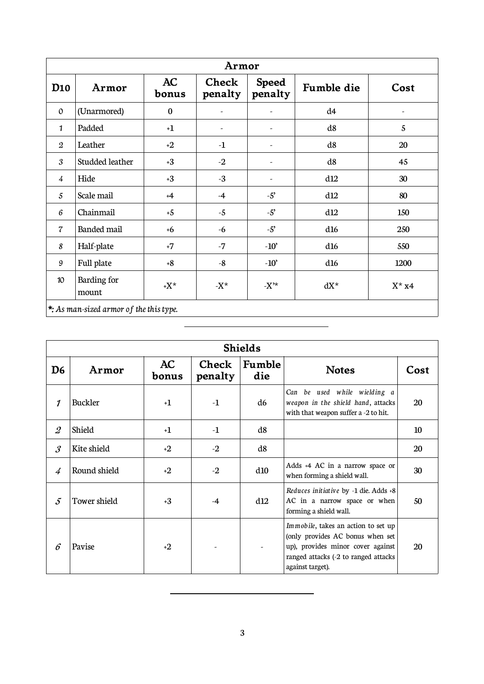| Armor                                   |                      |             |                  |                          |            |          |
|-----------------------------------------|----------------------|-------------|------------------|--------------------------|------------|----------|
| D <sub>10</sub>                         | Armor                | AC<br>bonus | Check<br>penalty | <b>Speed</b><br>penalty  | Fumble die | Cost     |
| $\Omega$                                | (Unarmored)          | $\bf{0}$    |                  | -                        | d4         |          |
| 1                                       | Padded               | $+1$        |                  | $\overline{\phantom{a}}$ | d8         | 5        |
| $\boldsymbol{2}$                        | Leather              | $+2$        | $-1$             |                          | d8         | 20       |
| 3                                       | Studded leather      | $+3$        | $-2$             | $\overline{\phantom{a}}$ | d8         | 45       |
| $\frac{1}{4}$                           | Hide                 | $+3$        | $-3$             |                          | d12        | 30       |
| 5                                       | Scale mail           | $+4$        | $-4$             | $-5$                     | d12        | 80       |
| 6                                       | Chainmail            | $+5$        | $-5$             | $-5$                     | d12        | 150      |
| $\overline{7}$                          | Banded mail          | $+6$        | $-6$             | $-5$                     | d16        | 250      |
| 8                                       | Half-plate           | $+7$        | $-7$             | $-10'$                   | d16        | 550      |
| 9                                       | Full plate           | $+8$        | $-8$             | $-10'$                   | d16        | 1200     |
| 10 <sup>°</sup>                         | Barding for<br>mount | $+X^*$      | - $X^*$          | $-X^*$                   | $dX^*$     | $X^*$ x4 |
| *: As man-sized armor of the this type. |                      |             |                  |                          |            |          |

| <b>Shields</b>             |              |                  |               |              |                                                                                                                                                                           |    |  |
|----------------------------|--------------|------------------|---------------|--------------|---------------------------------------------------------------------------------------------------------------------------------------------------------------------------|----|--|
| AC<br>D6<br>Armor<br>bonus |              | Check<br>penalty | Fumble<br>die | <b>Notes</b> | Cost                                                                                                                                                                      |    |  |
| 1                          | Buckler      | $+1$             | $-1$          | d6           | Can be used while wielding a<br>weapon in the shield hand, attacks<br>with that weapon suffer a -2 to hit.                                                                | 20 |  |
| $\mathcal{Q}$              | Shield       | $+1$             | $-1$          | d8           |                                                                                                                                                                           | 10 |  |
| $\mathcal{S}_{0}$          | Kite shield  | $+2$             | $-2$          | d8           |                                                                                                                                                                           | 20 |  |
| $\overline{4}$             | Round shield | $+2$             | $-2$          | d10          | Adds +4 AC in a narrow space or<br>when forming a shield wall.                                                                                                            | 30 |  |
| $\mathcal{L}$              | Tower shield | $+3$             | $-4$          | d12          | Reduces initiative by -1 die. Adds +8<br>AC in a narrow space or when<br>forming a shield wall.                                                                           | 50 |  |
| 6                          | Pavise       | $+2$             |               |              | Immobile, takes an action to set up<br>(only provides AC bonus when set<br>up), provides minor cover against<br>ranged attacks (-2 to ranged attacks)<br>against target). | 20 |  |

 $\overline{\phantom{a}}$